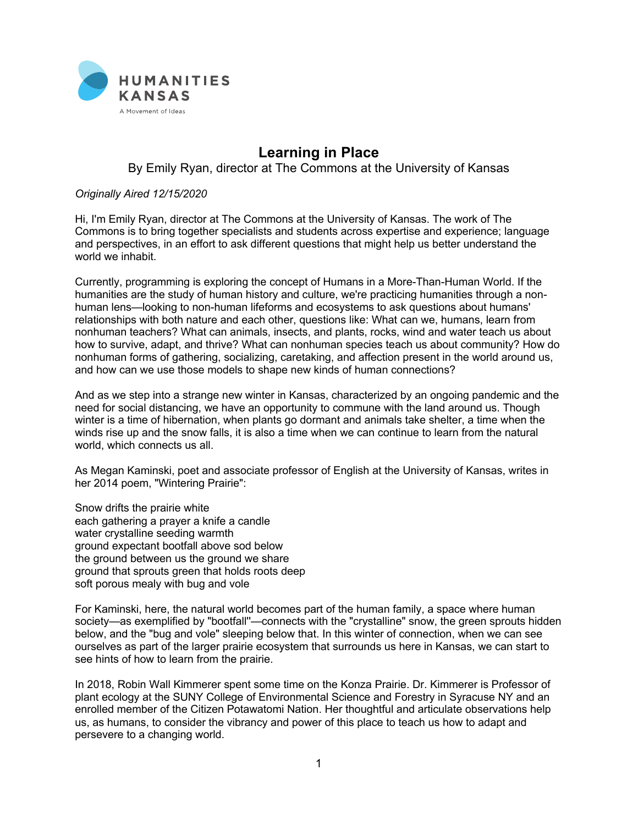

## **Learning in Place**

By Emily Ryan, director at The Commons at the University of Kansas

## *Originally Aired 12/15/2020*

Hi, I'm Emily Ryan, director at The Commons at the University of Kansas. The work of The Commons is to bring together specialists and students across expertise and experience; language and perspectives, in an effort to ask different questions that might help us better understand the world we inhabit.

Currently, programming is exploring the concept of Humans in a More-Than-Human World. If the humanities are the study of human history and culture, we're practicing humanities through a nonhuman lens—looking to non-human lifeforms and ecosystems to ask questions about humans' relationships with both nature and each other, questions like: What can we, humans, learn from nonhuman teachers? What can animals, insects, and plants, rocks, wind and water teach us about how to survive, adapt, and thrive? What can nonhuman species teach us about community? How do nonhuman forms of gathering, socializing, caretaking, and affection present in the world around us, and how can we use those models to shape new kinds of human connections?

And as we step into a strange new winter in Kansas, characterized by an ongoing pandemic and the need for social distancing, we have an opportunity to commune with the land around us. Though winter is a time of hibernation, when plants go dormant and animals take shelter, a time when the winds rise up and the snow falls, it is also a time when we can continue to learn from the natural world, which connects us all.

As Megan Kaminski, poet and associate professor of English at the University of Kansas, writes in her 2014 poem, "Wintering Prairie":

Snow drifts the prairie white each gathering a prayer a knife a candle water crystalline seeding warmth ground expectant bootfall above sod below the ground between us the ground we share ground that sprouts green that holds roots deep soft porous mealy with bug and vole

For Kaminski, here, the natural world becomes part of the human family, a space where human society—as exemplified by "bootfall''—connects with the "crystalline" snow, the green sprouts hidden below, and the "bug and vole" sleeping below that. In this winter of connection, when we can see ourselves as part of the larger prairie ecosystem that surrounds us here in Kansas, we can start to see hints of how to learn from the prairie.

In 2018, Robin Wall Kimmerer spent some time on the Konza Prairie. Dr. Kimmerer is Professor of plant ecology at the SUNY College of Environmental Science and Forestry in Syracuse NY and an enrolled member of the Citizen Potawatomi Nation. Her thoughtful and articulate observations help us, as humans, to consider the vibrancy and power of this place to teach us how to adapt and persevere to a changing world.